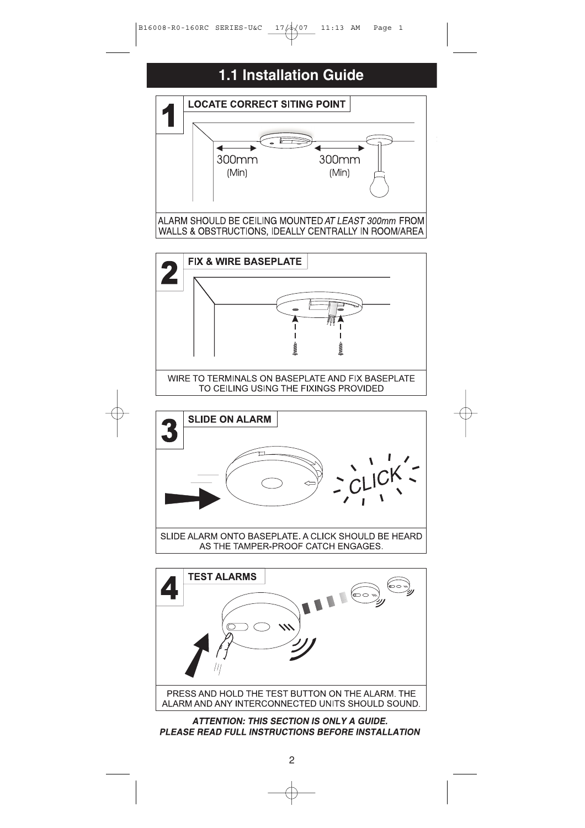## **1.1 Installation Guide**

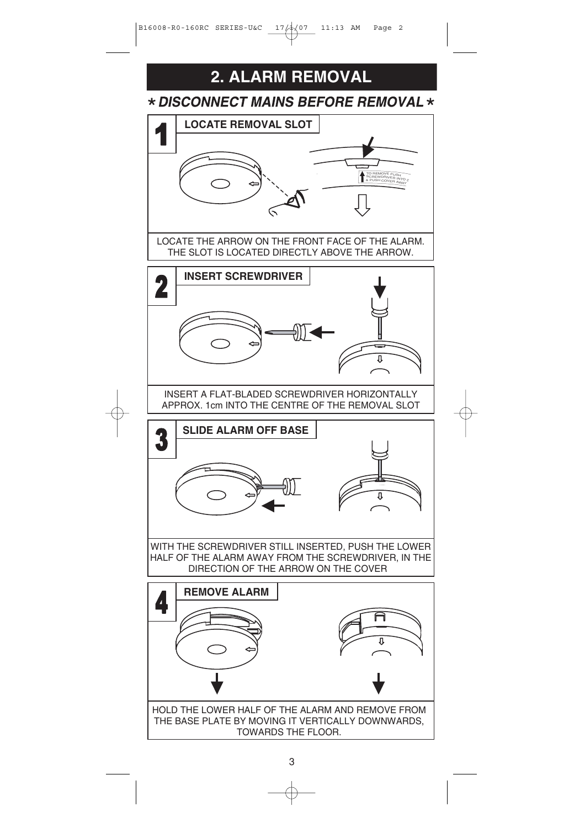

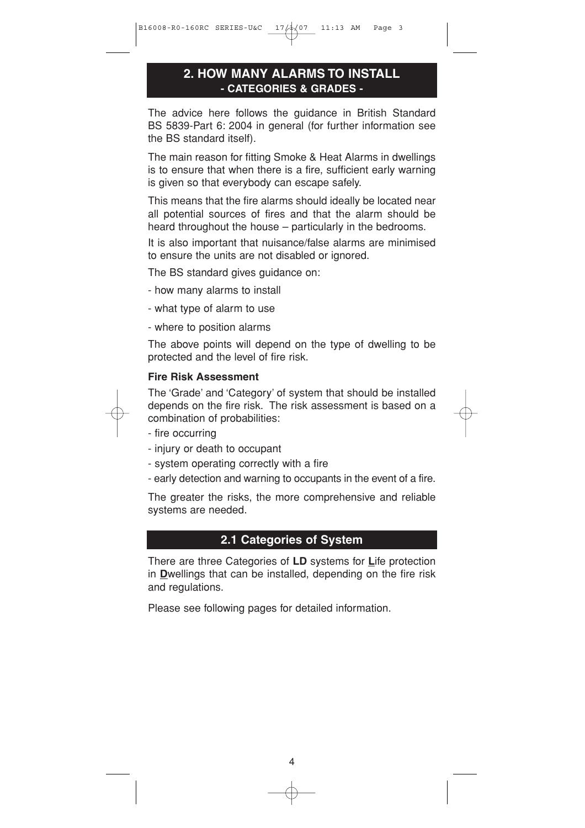## **2. HOW MANY ALARMS TO INSTALL - CATEGORIES & GRADES -**

The advice here follows the guidance in British Standard BS 5839-Part 6: 2004 in general (for further information see the BS standard itself).

The main reason for fitting Smoke & Heat Alarms in dwellings is to ensure that when there is a fire, sufficient early warning is given so that everybody can escape safely.

This means that the fire alarms should ideally be located near all potential sources of fires and that the alarm should be heard throughout the house – particularly in the bedrooms.

It is also important that nuisance/false alarms are minimised to ensure the units are not disabled or ignored.

The BS standard gives guidance on:

- how many alarms to install
- what type of alarm to use
- where to position alarms

The above points will depend on the type of dwelling to be protected and the level of fire risk.

#### **Fire Risk Assessment**



The 'Grade' and 'Category' of system that should be installed depends on the fire risk. The risk assessment is based on a combination of probabilities:

- fire occurring
- injury or death to occupant
- system operating correctly with a fire
- early detection and warning to occupants in the event of a fire.

The greater the risks, the more comprehensive and reliable systems are needed.

#### **2.1 Categories of System**

There are three Categories of **LD** systems for **L**ife protection in **D**wellings that can be installed, depending on the fire risk and regulations.

Please see following pages for detailed information.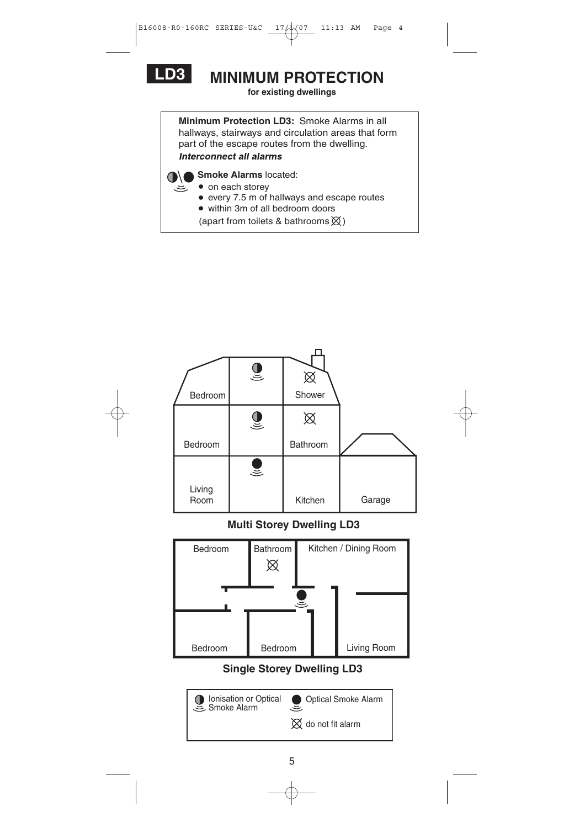

ミ

# **LD3 MINIMUM PROTECTION**

**for existing dwellings**

**Minimum Protection LD3:** Smoke Alarms in all hallways, stairways and circulation areas that form part of the escape routes from the dwelling. **Interconnect all alarms** 

**Smoke Alarms** located:

- on each storey
- every 7.5 m of hallways and escape routes
- within 3m of all bedroom doors
- (apart from toilets & bathrooms  $\boxtimes$ )

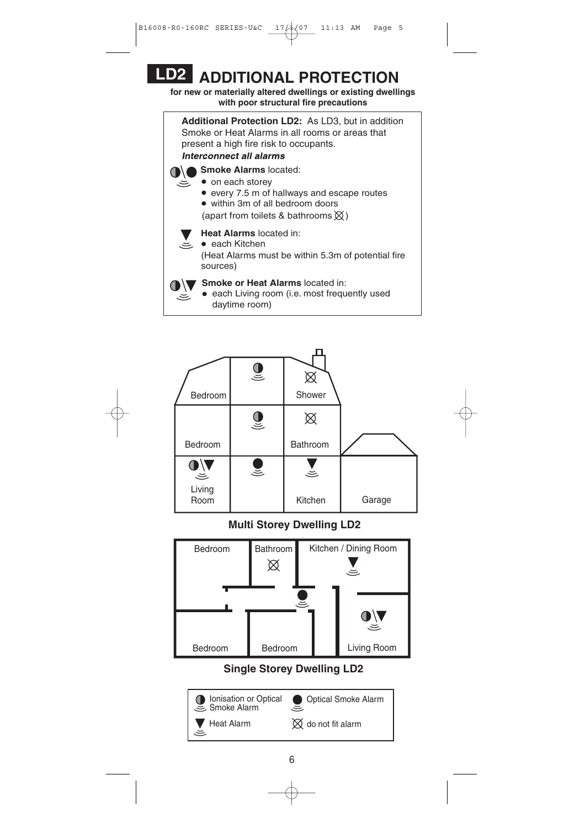# **LD2 ADDITIONAL PROTECTION**

**for new or materially altered dwellings or existing dwellings with poor structural fire precautions**

**Additional Protection LD2:** As LD3, but in addition Smoke or Heat Alarms in all rooms or areas that present a high fire risk to occupants. **Interconnect all alarms Smoke Alarms** located:

• on each storey

.ڪ

پ

- every 7.5 m of hallways and escape routes
- within 3m of all bedroom doors
- (apart from toilets & bathrooms  $\chi$ )
- **Heat Alarms** located in:

(Heat Alarms must be within 5.3m of potential fire sources) • each Kitchen

## **Smoke or Heat Alarms** located in:

• each Living room (i.e. most frequently used daytime room)



#### **Multi Storey Dwelling LD2**



**Single Storey Dwelling LD2**

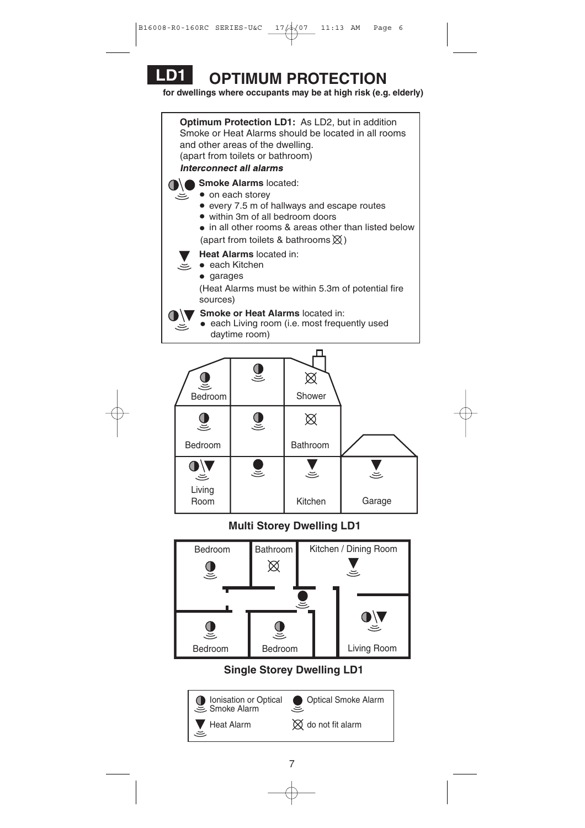

**for dwellings where occupants may be at high risk (e.g. elderly)**

**Optimum Protection LD1:** As LD2, but in addition Smoke or Heat Alarms should be located in all rooms and other areas of the dwelling. (apart from toilets or bathroom) **Interconnect all alarms Smoke Alarms** located: • on each storey every 7.5 m of hallways and escape routes within 3m of all bedroom doors • in all other rooms & areas other than listed below (apart from toilets & bathrooms  $\chi$ ) **Heat Alarms** located in: • each Kitchen .ڪ • garages (Heat Alarms must be within 5.3m of potential fire sources) **Smoke or Heat Alarms** located in:  $\bullet$ • each Living room (i.e. most frequently used رس daytime room) п



**Multi Storey Dwelling LD1**



**Single Storey Dwelling LD1**

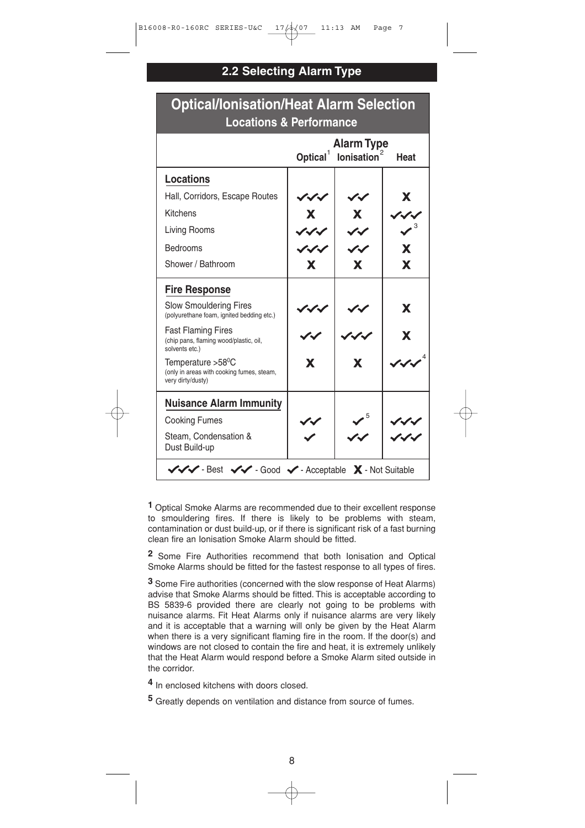## **2.2 Selecting Alarm Type**

|                                                                                                  | <b>Alarm Type</b><br>Optical <sup>1</sup><br>lonisation <sup>2</sup><br><b>Heat</b> |                          |   |
|--------------------------------------------------------------------------------------------------|-------------------------------------------------------------------------------------|--------------------------|---|
| <b>Locations</b>                                                                                 |                                                                                     |                          |   |
| Hall, Corridors, Escape Routes                                                                   |                                                                                     |                          | X |
| Kitchens                                                                                         | X                                                                                   | X.                       |   |
| Living Rooms                                                                                     | $\boldsymbol{\mathcal{L}}$                                                          | $\overline{\mathscr{C}}$ |   |
| <b>Bedrooms</b>                                                                                  | ノイイ                                                                                 | $\overline{\mathscr{C}}$ | X |
| Shower / Bathroom                                                                                | X                                                                                   | X                        | X |
| <b>Fire Response</b>                                                                             |                                                                                     |                          |   |
| <b>Slow Smouldering Fires</b><br>(polyurethane foam, ignited bedding etc.)                       |                                                                                     |                          | X |
| <b>Fast Flaming Fires</b><br>(chip pans, flaming wood/plastic, oil,<br>solvents etc.)            |                                                                                     |                          | X |
| Temperature >58 <sup>o</sup> C<br>(only in areas with cooking fumes, steam,<br>very dirty/dusty) | X                                                                                   | X                        |   |
| <b>Nuisance Alarm Immunity</b>                                                                   |                                                                                     |                          |   |
| <b>Cooking Fumes</b>                                                                             |                                                                                     |                          |   |
| Steam, Condensation &<br>Dust Build-up                                                           |                                                                                     |                          |   |

# **Optical/Ionisation/Heat Alarm Selection**

**1** Optical Smoke Alarms are recommended due to their excellent response to smouldering fires. If there is likely to be problems with steam, contamination or dust build-up, or if there is significant risk of a fast burning clean fire an Ionisation Smoke Alarm should be fitted.

**2** Some Fire Authorities recommend that both Ionisation and Optical Smoke Alarms should be fitted for the fastest response to all types of fires.

**3** Some Fire authorities (concerned with the slow response of Heat Alarms) advise that Smoke Alarms should be fitted. This is acceptable according to BS 5839-6 provided there are clearly not going to be problems with nuisance alarms. Fit Heat Alarms only if nuisance alarms are very likely and it is acceptable that a warning will only be given by the Heat Alarm when there is a very significant flaming fire in the room. If the door(s) and windows are not closed to contain the fire and heat, it is extremely unlikely that the Heat Alarm would respond before a Smoke Alarm sited outside in the corridor.

**4** In enclosed kitchens with doors closed.

**5** Greatly depends on ventilation and distance from source of fumes.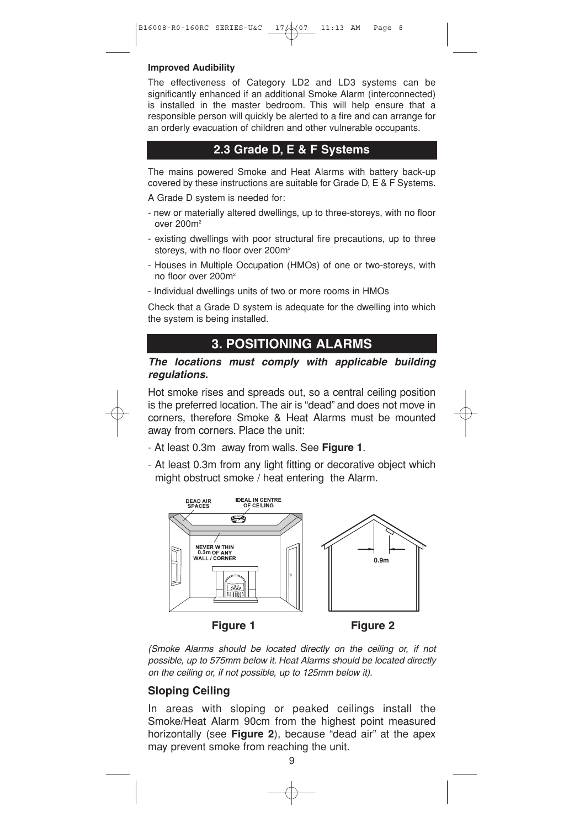#### **Improved Audibility**

The effectiveness of Category LD2 and LD3 systems can be significantly enhanced if an additional Smoke Alarm (interconnected) is installed in the master bedroom. This will help ensure that a responsible person will quickly be alerted to a fire and can arrange for an orderly evacuation of children and other vulnerable occupants.

#### **2.3 Grade D, E & F Systems**

The mains powered Smoke and Heat Alarms with battery back-up covered by these instructions are suitable for Grade D, E & F Systems.

A Grade D system is needed for:

- new or materially altered dwellings, up to three-storeys, with no floor over 200m2
- existing dwellings with poor structural fire precautions, up to three storeys, with no floor over 200m<sup>2</sup>
- Houses in Multiple Occupation (HMOs) of one or two-storeys, with no floor over 200m2
- Individual dwellings units of two or more rooms in HMOs

Check that a Grade D system is adequate for the dwelling into which the system is being installed.

#### **3. POSITIONING ALARMS**

#### *The locations must comply with applicable building regulations.*

Hot smoke rises and spreads out, so a central ceiling position is the preferred location. The air is "dead" and does not move in corners, therefore Smoke & Heat Alarms must be mounted away from corners. Place the unit:



- At least 0.3m away from walls. See **Figure 1**.
- At least 0.3m from any light fitting or decorative object which might obstruct smoke / heat entering the Alarm.



*(Smoke Alarms should be located directly on the ceiling or, if not possible, up to 575mm below it. Heat Alarms should be located directly on the ceiling or, if not possible, up to 125mm below it).*

#### **Sloping Ceiling**

In areas with sloping or peaked ceilings install the Smoke/Heat Alarm 90cm from the highest point measured horizontally (see **Figure 2**), because "dead air" at the apex may prevent smoke from reaching the unit.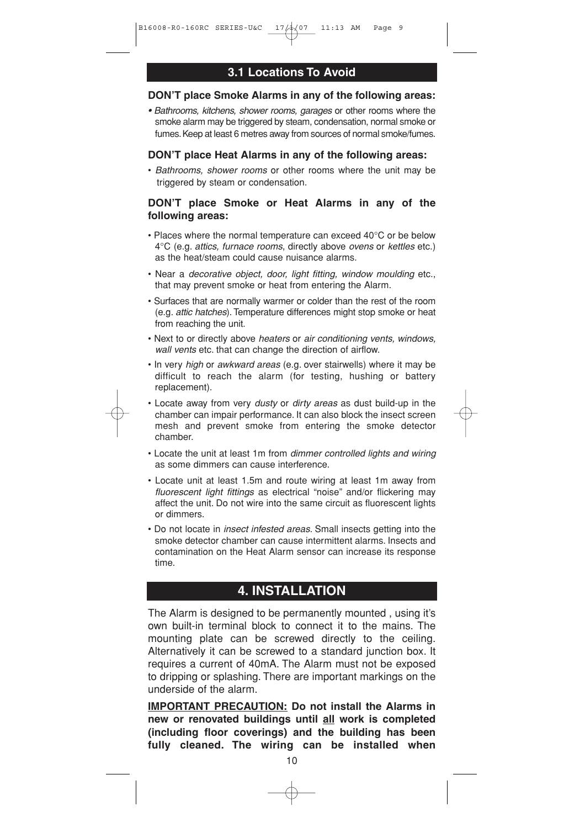#### **3.1 Locations To Avoid**

#### **DON'T place Smoke Alarms in any of the following areas:**

*• Bathrooms, kitchens, shower rooms, garages* or other rooms where the smoke alarm may be triggered by steam, condensation, normal smoke or fumes. Keep at least 6 metres away from sources of normal smoke/fumes.

#### **DON'T place Heat Alarms in any of the following areas:**

• *Bathrooms, shower rooms* or other rooms where the unit may be triggered by steam or condensation.

#### **DON'T place Smoke or Heat Alarms in any of the following areas:**

- Places where the normal temperature can exceed 40°C or be below 4°C (e.g. *attics, furnace rooms*, directly above *ovens* or *kettles* etc.) as the heat/steam could cause nuisance alarms.
- Near a *decorative object, door, light fitting, window moulding* etc., that may prevent smoke or heat from entering the Alarm.
- Surfaces that are normally warmer or colder than the rest of the room (e.g. *attic hatches*). Temperature differences might stop smoke or heat from reaching the unit.
- Next to or directly above *heaters* or *air conditioning vents, windows, wall vents* etc. that can change the direction of airflow.
- In very *high* or *awkward areas* (e.g. over stairwells) where it may be difficult to reach the alarm (for testing, hushing or battery replacement).
- Locate away from very *dusty* or *dirty areas* as dust build-up in the chamber can impair performance. It can also block the insect screen mesh and prevent smoke from entering the smoke detector chamber.
- Locate the unit at least 1m from *dimmer controlled lights and wiring* as some dimmers can cause interference.
- Locate unit at least 1.5m and route wiring at least 1m away from *fluorescent light fittings* as electrical "noise" and/or flickering may affect the unit. Do not wire into the same circuit as fluorescent lights or dimmers.
- Do not locate in *insect infested areas*. Small insects getting into the smoke detector chamber can cause intermittent alarms. Insects and contamination on the Heat Alarm sensor can increase its response time.

## **4. INSTALLATION**

The Alarm is designed to be permanently mounted , using it's own built-in terminal block to connect it to the mains. The mounting plate can be screwed directly to the ceiling. Alternatively it can be screwed to a standard junction box. It requires a current of 40mA. The Alarm must not be exposed to dripping or splashing. There are important markings on the underside of the alarm.

**IMPORTANT PRECAUTION: Do not install the Alarms in new or renovated buildings until all work is completed (including floor coverings) and the building has been fully cleaned. The wiring can be installed when**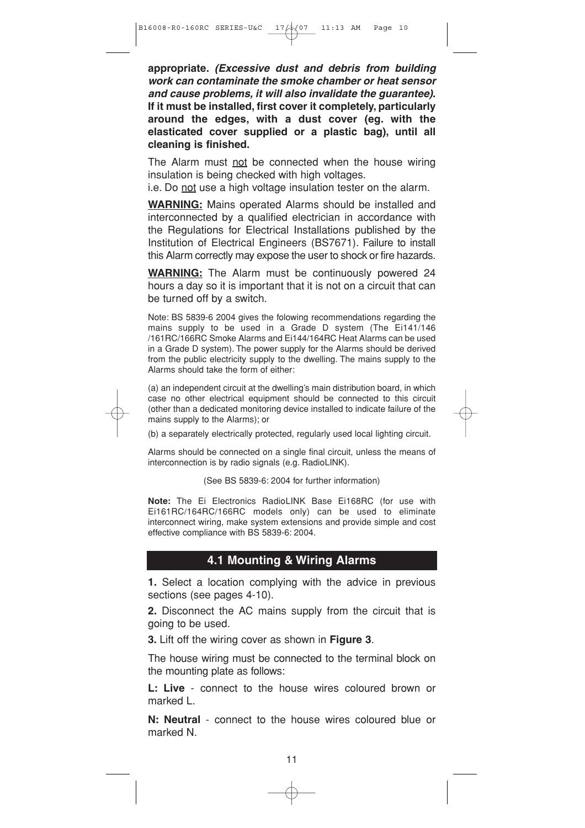**appropriate.** *(Excessive dust and debris from building work can contaminate the smoke chamber or heat sensor and cause problems, it will also invalidate the guarantee)***. If it must be installed, first cover it completely, particularly around the edges, with a dust cover (eg. with the elasticated cover supplied or a plastic bag), until all cleaning is finished.**

The Alarm must not be connected when the house wiring insulation is being checked with high voltages.

i.e. Do not use a high voltage insulation tester on the alarm.

**WARNING:** Mains operated Alarms should be installed and interconnected by a qualified electrician in accordance with the Regulations for Electrical Installations published by the Institution of Electrical Engineers (BS7671). Failure to install this Alarm correctly may expose the user to shock or fire hazards.

**WARNING:** The Alarm must be continuously powered 24 hours a day so it is important that it is not on a circuit that can be turned off by a switch.

Note: BS 5839-6 2004 gives the folowing recommendations regarding the mains supply to be used in a Grade D system (The Ei141/146 /161RC/166RC Smoke Alarms and Ei144/164RC Heat Alarms can be used in a Grade D system). The power supply for the Alarms should be derived from the public electricity supply to the dwelling. The mains supply to the Alarms should take the form of either:

(a) an independent circuit at the dwelling's main distribution board, in which case no other electrical equipment should be connected to this circuit (other than a dedicated monitoring device installed to indicate failure of the mains supply to the Alarms); or

(b) a separately electrically protected, regularly used local lighting circuit.

Alarms should be connected on a single final circuit, unless the means of interconnection is by radio signals (e.g. RadioLINK).

(See BS 5839-6: 2004 for further information)

**Note:** The Ei Electronics RadioLINK Base Ei168RC (for use with Ei161RC/164RC/166RC models only) can be used to eliminate interconnect wiring, make system extensions and provide simple and cost effective compliance with BS 5839-6: 2004.

#### **4.1 Mounting & Wiring Alarms**

**1.** Select a location complying with the advice in previous sections (see pages 4-10).

**2.** Disconnect the AC mains supply from the circuit that is going to be used.

**3.** Lift off the wiring cover as shown in **Figure 3**.

The house wiring must be connected to the terminal block on the mounting plate as follows:

**L: Live** - connect to the house wires coloured brown or marked L.

**N: Neutral** - connect to the house wires coloured blue or marked N.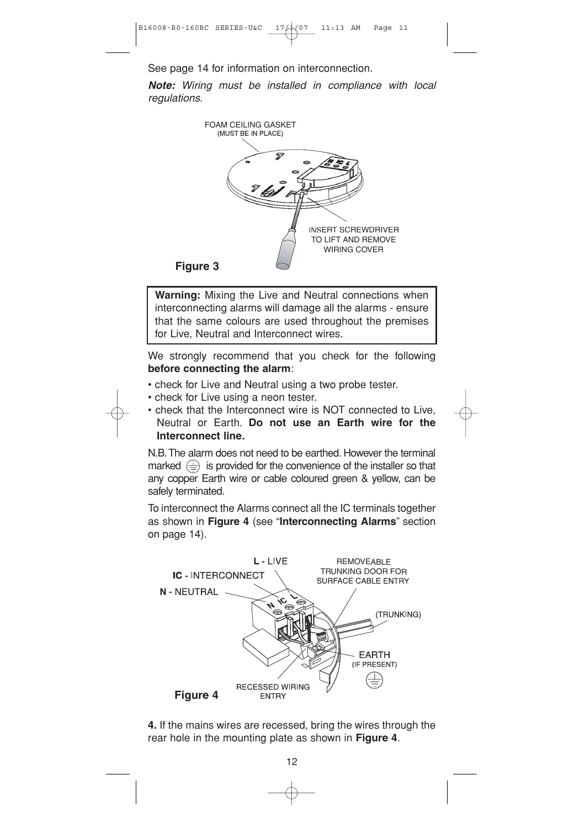See page 14 for information on interconnection.

*Note: Wiring must be installed in compliance with local regulations.*



**Warning:** Mixing the Live and Neutral connections when interconnecting alarms will damage all the alarms - ensure that the same colours are used throughout the premises for Live, Neutral and Interconnect wires.

We strongly recommend that you check for the following **before connecting the alarm**:

- check for Live and Neutral using a two probe tester.
- check for Live using a neon tester.

• check that the Interconnect wire is NOT connected to Live, Neutral or Earth. **Do not use an Earth wire for the Interconnect line.**

N.B.The alarm does not need to be earthed. However the terminal marked  $\left(\frac{\Gamma}{\epsilon}\right)$  is provided for the convenience of the installer so that any copper Earth wire or cable coloured green & yellow, can be safely terminated.

To interconnect the Alarms connect all the IC terminals together as shown in **Figure 4** (see "**Interconnecting Alarms**" section on page 14).



**4.** If the mains wires are recessed, bring the wires through the rear hole in the mounting plate as shown in **Figure 4**.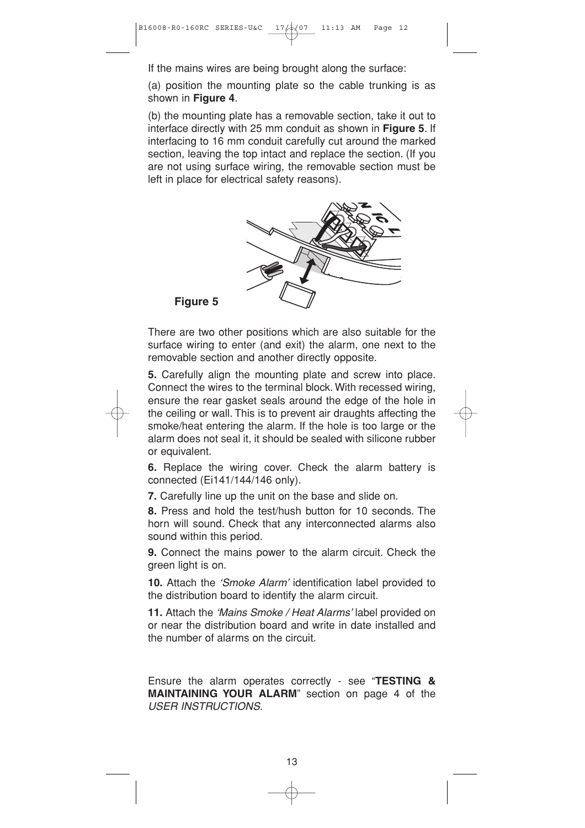If the mains wires are being brought along the surface:

(a) position the mounting plate so the cable trunking is as shown in **Figure 4**.

(b) the mounting plate has a removable section, take it out to interface directly with 25 mm conduit as shown in **Figure 5**. If interfacing to 16 mm conduit carefully cut around the marked section, leaving the top intact and replace the section. (If you are not using surface wiring, the removable section must be left in place for electrical safety reasons).



**Figure 5**

There are two other positions which are also suitable for the surface wiring to enter (and exit) the alarm, one next to the removable section and another directly opposite.

**5.** Carefully align the mounting plate and screw into place. Connect the wires to the terminal block. With recessed wiring, ensure the rear gasket seals around the edge of the hole in the ceiling or wall. This is to prevent air draughts affecting the smoke/heat entering the alarm. If the hole is too large or the alarm does not seal it, it should be sealed with silicone rubber or equivalent.

**6.** Replace the wiring cover. Check the alarm battery is connected (Ei141/144/146 only).

**7.** Carefully line up the unit on the base and slide on.

**8.** Press and hold the test/hush button for 10 seconds. The horn will sound. Check that any interconnected alarms also sound within this period.

**9.** Connect the mains power to the alarm circuit. Check the green light is on.

**10.** Attach the *'Smoke Alarm'* identification label provided to the distribution board to identify the alarm circuit.

**11.** Attach the *'Mains Smoke / Heat Alarms'* label provided on or near the distribution board and write in date installed and the number of alarms on the circuit.

Ensure the alarm operates correctly - see "**TESTING & MAINTAINING YOUR ALARM**" section on page 4 of the *USER INSTRUCTIONS*.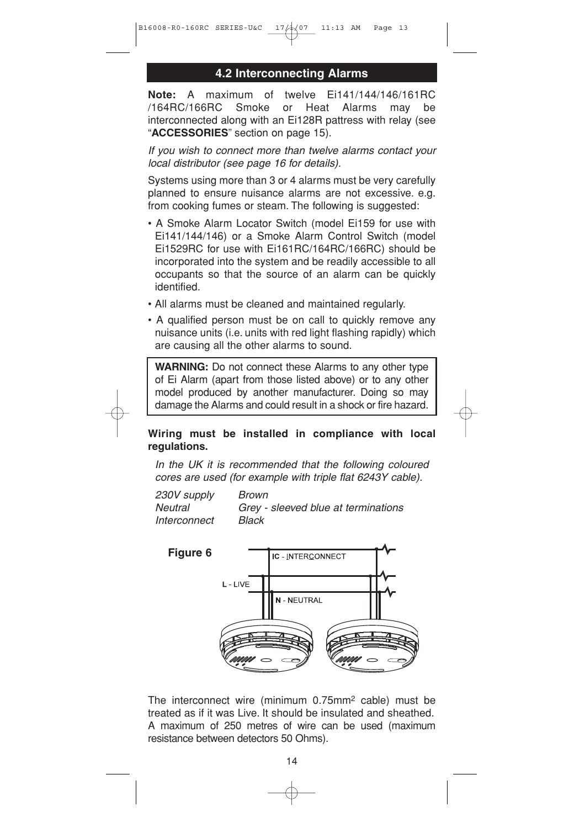#### **4.2 Interconnecting Alarms**

**Note:** A maximum of twelve Ei141/144/146/161RC /164RC/166RC Smoke or Heat Alarms may be interconnected along with an Ei128R pattress with relay (see "**ACCESSORIES**" section on page 15).

*If you wish to connect more than twelve alarms contact your local distributor (see page 16 for details).*

Systems using more than 3 or 4 alarms must be very carefully planned to ensure nuisance alarms are not excessive. e.g. from cooking fumes or steam. The following is suggested:

- A Smoke Alarm Locator Switch (model Ei159 for use with Ei141/144/146) or a Smoke Alarm Control Switch (model Ei1529RC for use with Ei161RC/164RC/166RC) should be incorporated into the system and be readily accessible to all occupants so that the source of an alarm can be quickly identified.
- All alarms must be cleaned and maintained regularly.
- A qualified person must be on call to quickly remove any nuisance units (i.e. units with red light flashing rapidly) which are causing all the other alarms to sound.

**WARNING:** Do not connect these Alarms to any other type of Ei Alarm (apart from those listed above) or to any other model produced by another manufacturer. Doing so may damage the Alarms and could result in a shock or fire hazard.

#### **Wiring must be installed in compliance with local regulations.**

*In the UK it is recommended that the following coloured cores are used (for example with triple flat 6243Y cable).*

*230V supply Brown Neutral Grey - sleeved blue at terminations Interconnect Black*



The interconnect wire (minimum 0.75mm2 cable) must be treated as if it was Live. It should be insulated and sheathed. A maximum of 250 metres of wire can be used (maximum resistance between detectors 50 Ohms).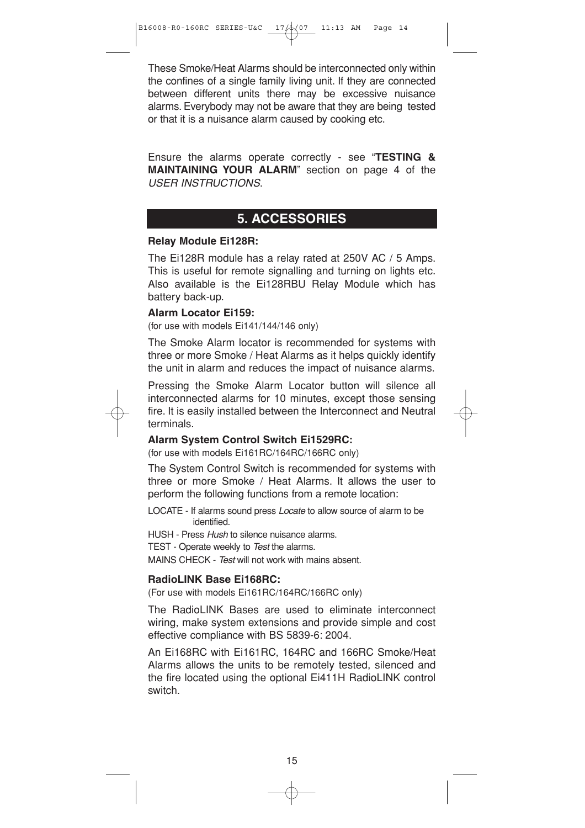These Smoke/Heat Alarms should be interconnected only within the confines of a single family living unit. If they are connected between different units there may be excessive nuisance alarms. Everybody may not be aware that they are being tested or that it is a nuisance alarm caused by cooking etc.

Ensure the alarms operate correctly - see "**TESTING & MAINTAINING YOUR ALARM**" section on page 4 of the *USER INSTRUCTIONS*.

### **5. ACCESSORIES**

#### **Relay Module Ei128R:**

The Ei128R module has a relay rated at 250V AC / 5 Amps. This is useful for remote signalling and turning on lights etc. Also available is the Ei128RBU Relay Module which has battery back-up.

#### **Alarm Locator Ei159:**

(for use with models Ei141/144/146 only)

The Smoke Alarm locator is recommended for systems with three or more Smoke / Heat Alarms as it helps quickly identify the unit in alarm and reduces the impact of nuisance alarms.

Pressing the Smoke Alarm Locator button will silence all interconnected alarms for 10 minutes, except those sensing fire. It is easily installed between the Interconnect and Neutral terminals.

#### **Alarm System Control Switch Ei1529RC:**

(for use with models Ei161RC/164RC/166RC only)

The System Control Switch is recommended for systems with three or more Smoke / Heat Alarms. It allows the user to perform the following functions from a remote location:

LOCATE - If alarms sound press *Locate* to allow source of alarm to be identified.

HUSH - Press *Hush* to silence nuisance alarms.

TEST - Operate weekly to *Test* the alarms.

MAINS CHECK - *Test* will not work with mains absent.

#### **RadioLINK Base Ei168RC:**

(For use with models Ei161RC/164RC/166RC only)

The RadioLINK Bases are used to eliminate interconnect wiring, make system extensions and provide simple and cost effective compliance with BS 5839-6: 2004.

An Ei168RC with Ei161RC, 164RC and 166RC Smoke/Heat Alarms allows the units to be remotely tested, silenced and the fire located using the optional Ei411H RadioLINK control switch.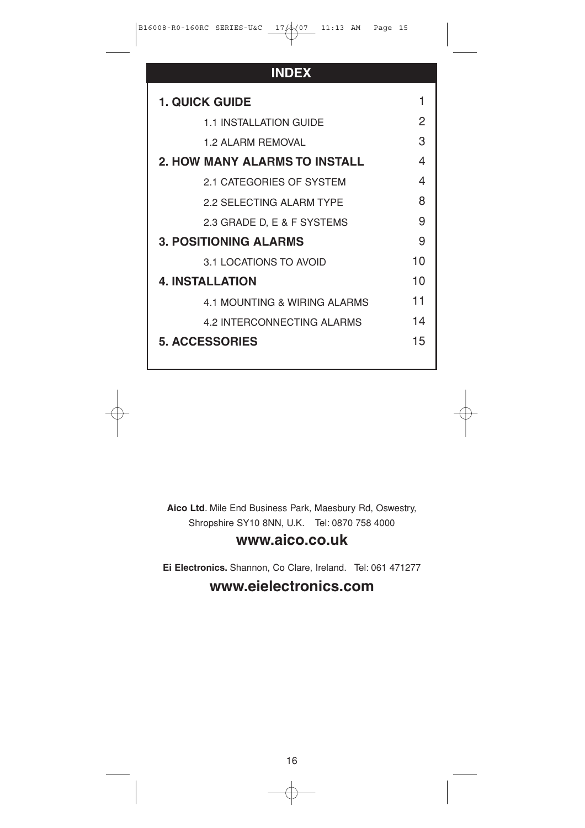## **INDEX**

| <b>1. QUICK GUIDE</b>                |    |
|--------------------------------------|----|
| <b>1.1 INSTALLATION GUIDE</b>        | 2  |
| 1 2 AI ARM REMOVAL                   | 3  |
| <b>2. HOW MANY ALARMS TO INSTALL</b> | 4  |
| 2.1 CATEGORIES OF SYSTEM             | 4  |
| 2.2 SELECTING ALARM TYPE             | R  |
| 2.3 GRADE D, E & F SYSTEMS           | 9  |
| <b>3. POSITIONING ALARMS</b>         | 9  |
| 3.1 LOCATIONS TO AVOID               | 10 |
| <b>4. INSTALLATION</b>               | 10 |
| 4.1 MOUNTING & WIRING ALARMS         | 11 |
| 4.2 INTERCONNECTING ALARMS           | 14 |
| <b>5. ACCESSORIES</b>                | 15 |
|                                      |    |

**Aico Ltd**. Mile End Business Park, Maesbury Rd, Oswestry, Shropshire SY10 8NN, U.K. Tel: 0870 758 4000

## **www.aico.co.uk**

**Ei Electronics.** Shannon, Co Clare, Ireland. Tel: 061 471277

## **www.eielectronics.com**